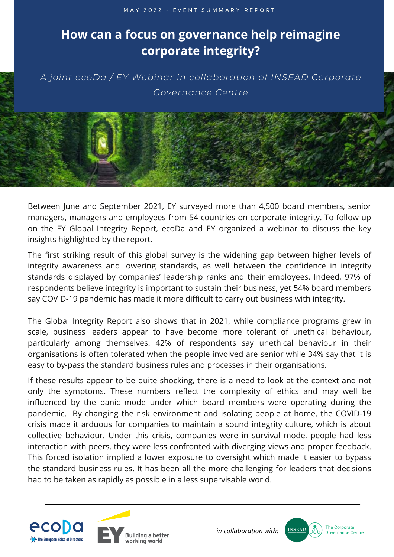## **How can a focus on governance help reimagine corporate integrity?**

*A joint ecoDa / EY Webinar in collaboration of INSEAD Corporate Governance Centre*

Between June and September 2021, EY surveyed more than 4,500 board members, senior managers, managers and employees from 54 countries on corporate integrity. To follow up on the EY Global [Integrity](https://www.ey.com/en_gl/forensic-integrity-services/how-a-focus-on-governance-can-help-reimagine-corporate-integrity) Report, ecoDa and EY organized a webinar to discuss the key insights highlighted by the report.

The first striking result of this global survey is the widening gap between higher levels of integrity awareness and lowering standards, as well between the confidence in integrity standards displayed by companies' leadership ranks and their employees. Indeed, 97% of respondents believe integrity is important to sustain their business, yet 54% board members say COVID-19 pandemic has made it more difficult to carry out business with integrity.

The Global Integrity Report also shows that in 2021, while compliance programs grew in scale, business leaders appear to have become more tolerant of unethical behaviour, particularly among themselves. 42% of respondents say unethical behaviour in their organisations is often tolerated when the people involved are senior while 34% say that it is easy to by-pass the standard business rules and processes in their organisations.

If these results appear to be quite shocking, there is a need to look at the context and not only the symptoms. These numbers reflect the complexity of ethics and may well be influenced by the panic mode under which board members were operating during the pandemic. By changing the risk environment and isolating people at home, the COVID-19 crisis made it arduous for companies to maintain a sound integrity culture, which is about collective behaviour. Under this crisis, companies were in survival mode, people had less interaction with peers, they were less confronted with diverging views and proper feedback. This forced isolation implied a lower exposure to oversight which made it easier to bypass the standard business rules. It has been all the more challenging for leaders that decisions had to be taken as rapidly as possible in a less supervisable world.







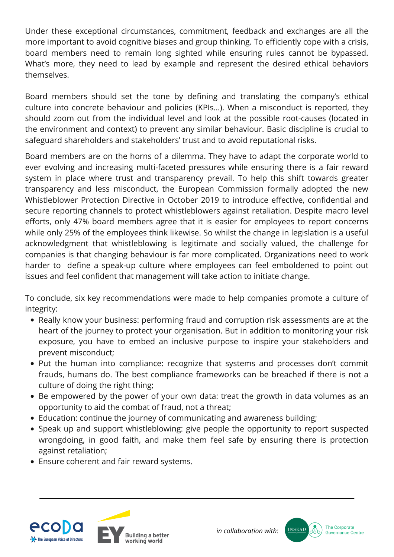Under these exceptional circumstances, commitment, feedback and exchanges are all the more important to avoid cognitive biases and group thinking. To efficiently cope with a crisis, board members need to remain long sighted while ensuring rules cannot be bypassed. What's more, they need to lead by example and represent the desired ethical behaviors themselves.

Board members should set the tone by defining and translating the company's ethical culture into concrete behaviour and policies (KPIs…). When a misconduct is reported, they should zoom out from the individual level and look at the possible root-causes (located in the environment and context) to prevent any similar behaviour. Basic discipline is crucial to safeguard shareholders and stakeholders' trust and to avoid reputational risks.

Board members are on the horns of a dilemma. They have to adapt the corporate world to ever evolving and increasing multi-faceted pressures while ensuring there is a fair reward system in place where trust and transparency prevail. To help this shift towards greater transparency and less misconduct, the European Commission formally adopted the new Whistleblower Protection Directive in October 2019 to introduce effective, confidential and secure reporting channels to protect whistleblowers against retaliation. Despite macro level efforts, only 47% board members agree that it is easier for employees to report concerns while only 25% of the employees think likewise. So whilst the change in legislation is a useful acknowledgment that whistleblowing is legitimate and socially valued, the challenge for companies is that changing behaviour is far more complicated. Organizations need to work harder to define a speak-up culture where employees can feel emboldened to point out issues and feel confident that management will take action to initiate change.

To conclude, six key recommendations were made to help companies promote a culture of integrity:

- Really know your business: performing fraud and corruption risk assessments are at the heart of the journey to protect your organisation. But in addition to monitoring your risk exposure, you have to embed an inclusive purpose to inspire your stakeholders and prevent misconduct;
- Put the human into compliance: recognize that systems and processes don't commit frauds, humans do. The best compliance frameworks can be breached if there is not a culture of doing the right thing;
- Be empowered by the power of your own data: treat the growth in data volumes as an opportunity to aid the combat of fraud, not a threat;
- Education: continue the journey of communicating and awareness building;
- Speak up and support whistleblowing: give people the opportunity to report suspected wrongdoing, in good faith, and make them feel safe by ensuring there is protection against retaliation;
- Ensure coherent and fair reward systems.